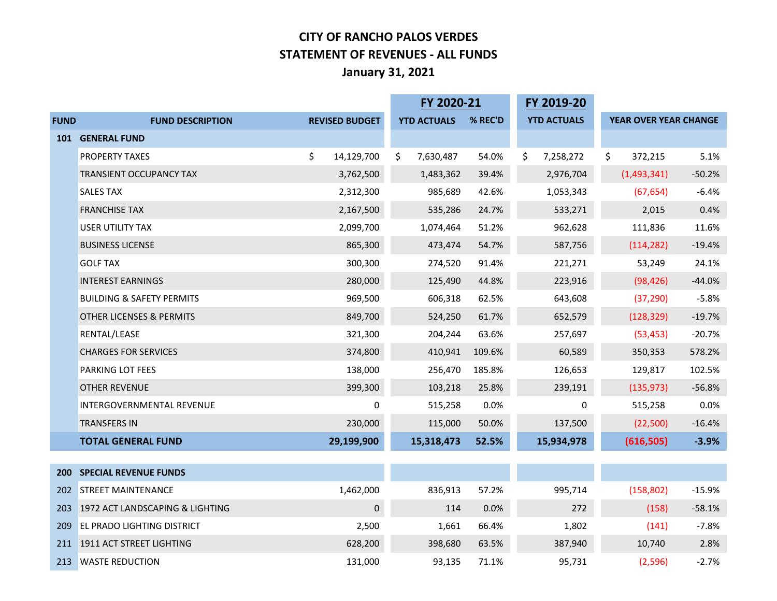#### **CITY OF RANCHO PALOS VERDES STATEMENT OF REVENUES - ALL FUNDS January 31, 2021**

|             |                                      | FY 2020-21            |                    | FY 2019-20 |                    |                       |          |
|-------------|--------------------------------------|-----------------------|--------------------|------------|--------------------|-----------------------|----------|
| <b>FUND</b> | <b>FUND DESCRIPTION</b>              | <b>REVISED BUDGET</b> | <b>YTD ACTUALS</b> | % REC'D    | <b>YTD ACTUALS</b> | YEAR OVER YEAR CHANGE |          |
|             | 101 GENERAL FUND                     |                       |                    |            |                    |                       |          |
|             | PROPERTY TAXES                       | \$<br>14,129,700      | \$<br>7,630,487    | 54.0%      | \$<br>7,258,272    | \$<br>372,215         | 5.1%     |
|             | <b>TRANSIENT OCCUPANCY TAX</b>       | 3,762,500             | 1,483,362          | 39.4%      | 2,976,704          | (1,493,341)           | $-50.2%$ |
|             | <b>SALES TAX</b>                     | 2,312,300             | 985,689            | 42.6%      | 1,053,343          | (67, 654)             | $-6.4%$  |
|             | <b>FRANCHISE TAX</b>                 | 2,167,500             | 535,286            | 24.7%      | 533,271            | 2,015                 | 0.4%     |
|             | <b>USER UTILITY TAX</b>              | 2,099,700             | 1,074,464          | 51.2%      | 962,628            | 111,836               | 11.6%    |
|             | <b>BUSINESS LICENSE</b>              | 865,300               | 473,474            | 54.7%      | 587,756            | (114, 282)            | $-19.4%$ |
|             | <b>GOLF TAX</b>                      | 300,300               | 274,520            | 91.4%      | 221,271            | 53,249                | 24.1%    |
|             | <b>INTEREST EARNINGS</b>             | 280,000               | 125,490            | 44.8%      | 223,916            | (98, 426)             | $-44.0%$ |
|             | <b>BUILDING &amp; SAFETY PERMITS</b> | 969,500               | 606,318            | 62.5%      | 643,608            | (37, 290)             | $-5.8%$  |
|             | OTHER LICENSES & PERMITS             | 849,700               | 524,250            | 61.7%      | 652,579            | (128, 329)            | $-19.7%$ |
|             | RENTAL/LEASE                         | 321,300               | 204,244            | 63.6%      | 257,697            | (53, 453)             | $-20.7%$ |
|             | <b>CHARGES FOR SERVICES</b>          | 374,800               | 410,941            | 109.6%     | 60,589             | 350,353               | 578.2%   |
|             | PARKING LOT FEES                     | 138,000               | 256,470            | 185.8%     | 126,653            | 129,817               | 102.5%   |
|             | <b>OTHER REVENUE</b>                 | 399,300               | 103,218            | 25.8%      | 239,191            | (135, 973)            | $-56.8%$ |
|             | INTERGOVERNMENTAL REVENUE            | 0                     | 515,258            | 0.0%       | 0                  | 515,258               | 0.0%     |
|             | <b>TRANSFERS IN</b>                  | 230,000               | 115,000            | 50.0%      | 137,500            | (22,500)              | $-16.4%$ |
|             | <b>TOTAL GENERAL FUND</b>            | 29,199,900            | 15,318,473         | 52.5%      | 15,934,978         | (616, 505)            | $-3.9%$  |
|             |                                      |                       |                    |            |                    |                       |          |
| <b>200</b>  | <b>SPECIAL REVENUE FUNDS</b>         |                       |                    |            |                    |                       |          |
| 202         | <b>STREET MAINTENANCE</b>            | 1,462,000             | 836,913            | 57.2%      | 995,714            | (158, 802)            | $-15.9%$ |
| 203         | 1972 ACT LANDSCAPING & LIGHTING      | 0                     | 114                | 0.0%       | 272                | (158)                 | $-58.1%$ |
| 209         | <b>EL PRADO LIGHTING DISTRICT</b>    | 2,500                 | 1,661              | 66.4%      | 1,802              | (141)                 | $-7.8%$  |
|             | 211 1911 ACT STREET LIGHTING         | 628,200               | 398,680            | 63.5%      | 387,940            | 10,740                | 2.8%     |
|             | 213 WASTE REDUCTION                  | 131,000               | 93,135             | 71.1%      | 95,731             | (2,596)               | $-2.7%$  |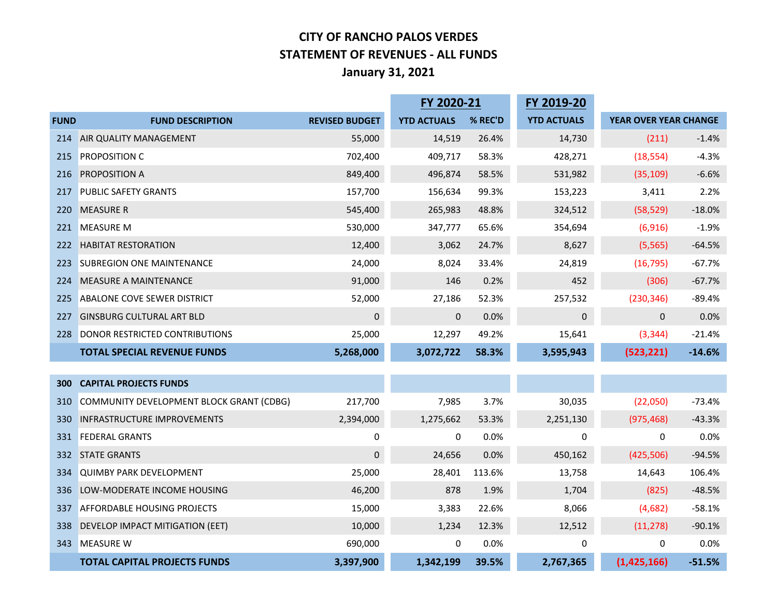#### **CITY OF RANCHO PALOS VERDES STATEMENT OF REVENUES - ALL FUNDS January 31, 2021**

|             |                                          |                       | FY 2020-21         |         | FY 2019-20         |                       |          |
|-------------|------------------------------------------|-----------------------|--------------------|---------|--------------------|-----------------------|----------|
| <b>FUND</b> | <b>FUND DESCRIPTION</b>                  | <b>REVISED BUDGET</b> | <b>YTD ACTUALS</b> | % REC'D | <b>YTD ACTUALS</b> | YEAR OVER YEAR CHANGE |          |
| 214         | AIR QUALITY MANAGEMENT                   | 55,000                | 14,519             | 26.4%   | 14,730             | (211)                 | $-1.4%$  |
| 215         | PROPOSITION C                            | 702,400               | 409,717            | 58.3%   | 428,271            | (18, 554)             | $-4.3%$  |
| 216         | PROPOSITION A                            | 849,400               | 496,874            | 58.5%   | 531,982            | (35, 109)             | $-6.6%$  |
| 217         | <b>PUBLIC SAFETY GRANTS</b>              | 157,700               | 156,634            | 99.3%   | 153,223            | 3,411                 | 2.2%     |
| 220         | <b>MEASURE R</b>                         | 545,400               | 265,983            | 48.8%   | 324,512            | (58, 529)             | $-18.0%$ |
| 221         | <b>MEASURE M</b>                         | 530,000               | 347,777            | 65.6%   | 354,694            | (6, 916)              | $-1.9%$  |
| 222         | <b>HABITAT RESTORATION</b>               | 12,400                | 3,062              | 24.7%   | 8,627              | (5, 565)              | $-64.5%$ |
| 223         | <b>SUBREGION ONE MAINTENANCE</b>         | 24,000                | 8,024              | 33.4%   | 24,819             | (16, 795)             | $-67.7%$ |
| 224         | MEASURE A MAINTENANCE                    | 91,000                | 146                | 0.2%    | 452                | (306)                 | $-67.7%$ |
| 225         | <b>ABALONE COVE SEWER DISTRICT</b>       | 52,000                | 27,186             | 52.3%   | 257,532            | (230, 346)            | $-89.4%$ |
| 227         | <b>GINSBURG CULTURAL ART BLD</b>         | 0                     | $\overline{0}$     | 0.0%    | 0                  | $\mathbf{0}$          | 0.0%     |
| 228         | DONOR RESTRICTED CONTRIBUTIONS           | 25,000                | 12,297             | 49.2%   | 15,641             | (3, 344)              | $-21.4%$ |
|             | <b>TOTAL SPECIAL REVENUE FUNDS</b>       | 5,268,000             | 3,072,722          | 58.3%   | 3,595,943          | (523, 221)            | $-14.6%$ |
|             |                                          |                       |                    |         |                    |                       |          |
| 300         | <b>CAPITAL PROJECTS FUNDS</b>            |                       |                    |         |                    |                       |          |
| 310         | COMMUNITY DEVELOPMENT BLOCK GRANT (CDBG) | 217,700               | 7,985              | 3.7%    | 30,035             | (22,050)              | $-73.4%$ |
| 330         | INFRASTRUCTURE IMPROVEMENTS              | 2,394,000             | 1,275,662          | 53.3%   | 2,251,130          | (975, 468)            | $-43.3%$ |
| 331         | <b>FEDERAL GRANTS</b>                    | 0                     | 0                  | 0.0%    | 0                  | 0                     | 0.0%     |
| 332         | <b>STATE GRANTS</b>                      | 0                     | 24,656             | 0.0%    | 450,162            | (425, 506)            | $-94.5%$ |
| 334         | <b>QUIMBY PARK DEVELOPMENT</b>           | 25,000                | 28,401             | 113.6%  | 13,758             | 14,643                | 106.4%   |
| 336         | LOW-MODERATE INCOME HOUSING              | 46,200                | 878                | 1.9%    | 1,704              | (825)                 | $-48.5%$ |
| 337         | <b>AFFORDABLE HOUSING PROJECTS</b>       | 15,000                | 3,383              | 22.6%   | 8,066              | (4,682)               | $-58.1%$ |
| 338         | DEVELOP IMPACT MITIGATION (EET)          | 10,000                | 1,234              | 12.3%   | 12,512             | (11, 278)             | $-90.1%$ |
| 343         | <b>MEASURE W</b>                         | 690,000               | 0                  | 0.0%    | 0                  | 0                     | 0.0%     |
|             | <b>TOTAL CAPITAL PROJECTS FUNDS</b>      | 3,397,900             | 1,342,199          | 39.5%   | 2,767,365          | (1,425,166)           | $-51.5%$ |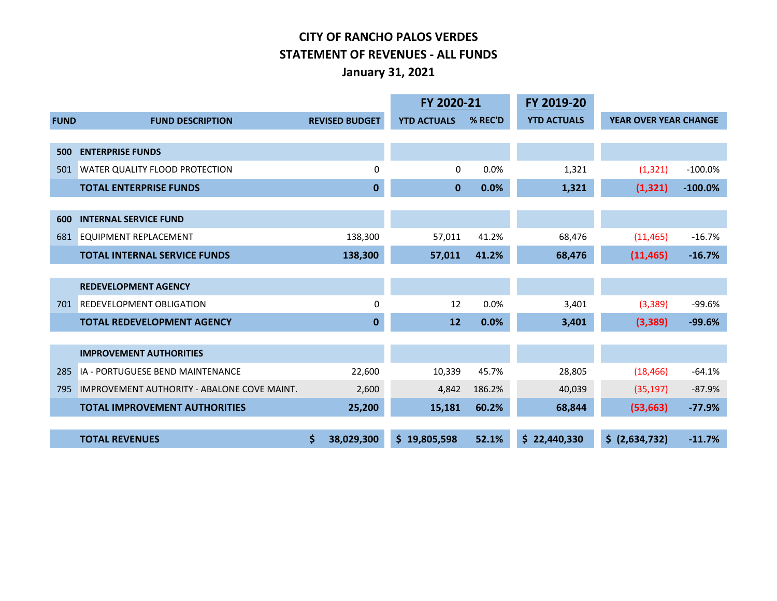#### **CITY OF RANCHO PALOS VERDES STATEMENT OF REVENUES - ALL FUNDS January 31, 2021**

|             |                                             |                       | FY 2020-21         |         | FY 2019-20         |                              |            |
|-------------|---------------------------------------------|-----------------------|--------------------|---------|--------------------|------------------------------|------------|
| <b>FUND</b> | <b>FUND DESCRIPTION</b>                     | <b>REVISED BUDGET</b> | <b>YTD ACTUALS</b> | % REC'D | <b>YTD ACTUALS</b> | <b>YEAR OVER YEAR CHANGE</b> |            |
|             |                                             |                       |                    |         |                    |                              |            |
| 500         | <b>ENTERPRISE FUNDS</b>                     |                       |                    |         |                    |                              |            |
| 501         | WATER QUALITY FLOOD PROTECTION              | 0                     | $\Omega$           | 0.0%    | 1,321              | (1, 321)                     | $-100.0%$  |
|             | <b>TOTAL ENTERPRISE FUNDS</b>               | 0                     | $\mathbf{0}$       | 0.0%    | 1,321              | (1, 321)                     | $-100.0\%$ |
|             |                                             |                       |                    |         |                    |                              |            |
| 600         | <b>INTERNAL SERVICE FUND</b>                |                       |                    |         |                    |                              |            |
| 681         | <b>EQUIPMENT REPLACEMENT</b>                | 138,300               | 57,011             | 41.2%   | 68,476             | (11, 465)                    | $-16.7%$   |
|             | <b>TOTAL INTERNAL SERVICE FUNDS</b>         | 138,300               | 57,011             | 41.2%   | 68,476             | (11, 465)                    | $-16.7%$   |
|             |                                             |                       |                    |         |                    |                              |            |
|             | <b>REDEVELOPMENT AGENCY</b>                 |                       |                    |         |                    |                              |            |
| 701         | <b>REDEVELOPMENT OBLIGATION</b>             | 0                     | 12                 | 0.0%    | 3,401              | (3, 389)                     | $-99.6%$   |
|             | <b>TOTAL REDEVELOPMENT AGENCY</b>           | $\mathbf 0$           | 12                 | 0.0%    | 3,401              | (3,389)                      | $-99.6%$   |
|             |                                             |                       |                    |         |                    |                              |            |
|             | <b>IMPROVEMENT AUTHORITIES</b>              |                       |                    |         |                    |                              |            |
| 285         | <b>IA - PORTUGUESE BEND MAINTENANCE</b>     | 22,600                | 10,339             | 45.7%   | 28,805             | (18, 466)                    | $-64.1%$   |
| 795         | IMPROVEMENT AUTHORITY - ABALONE COVE MAINT. | 2,600                 | 4,842              | 186.2%  | 40,039             | (35, 197)                    | $-87.9%$   |
|             | <b>TOTAL IMPROVEMENT AUTHORITIES</b>        | 25,200                | 15,181             | 60.2%   | 68,844             | (53, 663)                    | $-77.9%$   |
|             |                                             |                       |                    |         |                    |                              |            |
|             | <b>TOTAL REVENUES</b>                       | \$<br>38,029,300      | \$19,805,598       | 52.1%   | \$22,440,330       | \$ (2,634,732)               | $-11.7%$   |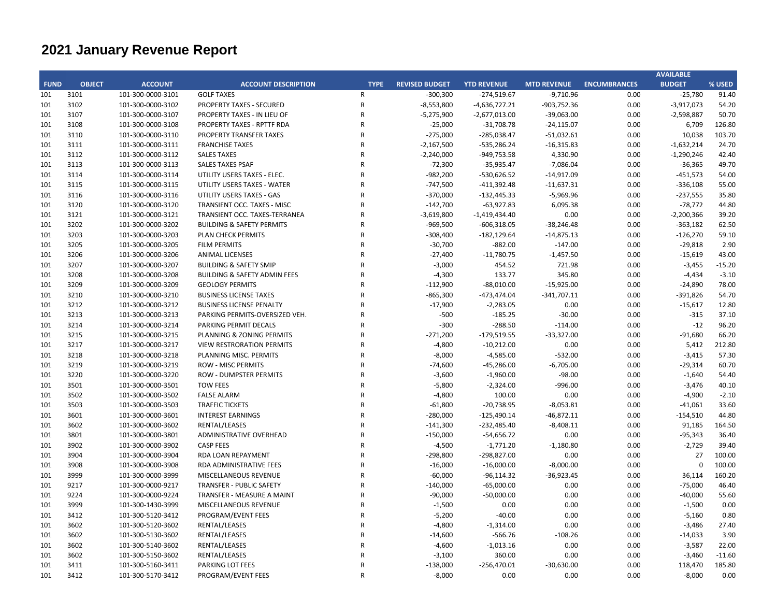|             |               |                   |                                         |                |                       |                    |                    |                     | <b>AVAILABLE</b> |          |
|-------------|---------------|-------------------|-----------------------------------------|----------------|-----------------------|--------------------|--------------------|---------------------|------------------|----------|
| <b>FUND</b> | <b>OBJECT</b> | <b>ACCOUNT</b>    | <b>ACCOUNT DESCRIPTION</b>              | <b>TYPE</b>    | <b>REVISED BUDGET</b> | <b>YTD REVENUE</b> | <b>MTD REVENUE</b> | <b>ENCUMBRANCES</b> | <b>BUDGET</b>    | % USED   |
| 101         | 3101          | 101-300-0000-3101 | <b>GOLF TAXES</b>                       | R              | $-300,300$            | $-274,519.67$      | $-9,710.96$        | 0.00                | $-25,780$        | 91.40    |
| 101         | 3102          | 101-300-0000-3102 | <b>PROPERTY TAXES - SECURED</b>         | $\mathsf R$    | $-8,553,800$          | $-4,636,727.21$    | -903,752.36        | 0.00                | $-3,917,073$     | 54.20    |
| 101         | 3107          | 101-300-0000-3107 | PROPERTY TAXES - IN LIEU OF             | $\mathsf R$    | $-5,275,900$          | $-2,677,013.00$    | $-39,063.00$       | 0.00                | $-2,598,887$     | 50.70    |
| 101         | 3108          | 101-300-0000-3108 | PROPERTY TAXES - RPTTF RDA              | R              | $-25,000$             | $-31,708.78$       | $-24,115.07$       | 0.00                | 6,709            | 126.80   |
| 101         | 3110          | 101-300-0000-3110 | PROPERTY TRANSFER TAXES                 | $\mathsf R$    | $-275,000$            | $-285,038.47$      | $-51,032.61$       | 0.00                | 10,038           | 103.70   |
| 101         | 3111          | 101-300-0000-3111 | <b>FRANCHISE TAXES</b>                  | R              | $-2,167,500$          | $-535,286.24$      | $-16,315.83$       | 0.00                | $-1,632,214$     | 24.70    |
| 101         | 3112          | 101-300-0000-3112 | <b>SALES TAXES</b>                      | R              | $-2,240,000$          | -949,753.58        | 4,330.90           | 0.00                | $-1,290,246$     | 42.40    |
| 101         | 3113          | 101-300-0000-3113 | <b>SALES TAXES PSAF</b>                 | R              | $-72,300$             | $-35,935.47$       | $-7,086.04$        | 0.00                | $-36,365$        | 49.70    |
| 101         | 3114          | 101-300-0000-3114 | UTILITY USERS TAXES - ELEC.             | R              | $-982,200$            | $-530,626.52$      | $-14,917.09$       | 0.00                | $-451,573$       | 54.00    |
| 101         | 3115          | 101-300-0000-3115 | UTILITY USERS TAXES - WATER             | R              | $-747,500$            | $-411,392.48$      | $-11,637.31$       | 0.00                | $-336,108$       | 55.00    |
| 101         | 3116          | 101-300-0000-3116 | UTILITY USERS TAXES - GAS               | $\overline{R}$ | $-370,000$            | $-132,445.33$      | $-5,969.96$        | 0.00                | $-237,555$       | 35.80    |
| 101         | 3120          | 101-300-0000-3120 | <b>TRANSIENT OCC. TAXES - MISC</b>      | R              | $-142,700$            | $-63,927.83$       | 6,095.38           | 0.00                | $-78,772$        | 44.80    |
| 101         | 3121          | 101-300-0000-3121 | TRANSIENT OCC. TAXES-TERRANEA           | R              | $-3,619,800$          | $-1,419,434.40$    | 0.00               | 0.00                | $-2,200,366$     | 39.20    |
| 101         | 3202          | 101-300-0000-3202 | <b>BUILDING &amp; SAFETY PERMITS</b>    | R              | $-969,500$            | $-606,318.05$      | $-38,246.48$       | 0.00                | $-363,182$       | 62.50    |
| 101         | 3203          | 101-300-0000-3203 | <b>PLAN CHECK PERMITS</b>               | R              | $-308,400$            | $-182, 129.64$     | $-14,875.13$       | 0.00                | $-126,270$       | 59.10    |
| 101         | 3205          | 101-300-0000-3205 | <b>FILM PERMITS</b>                     | R              | $-30,700$             | $-882.00$          | $-147.00$          | 0.00                | $-29,818$        | 2.90     |
|             |               |                   |                                         |                |                       |                    |                    |                     |                  |          |
| 101         | 3206<br>3207  | 101-300-0000-3206 | <b>ANIMAL LICENSES</b>                  | R<br>R         | $-27,400$             | $-11,780.75$       | $-1,457.50$        | 0.00                | $-15,619$        | 43.00    |
| 101         |               | 101-300-0000-3207 | <b>BUILDING &amp; SAFETY SMIP</b>       |                | $-3,000$              | 454.52             | 721.98             | 0.00                | $-3,455$         | $-15.20$ |
| 101         | 3208          | 101-300-0000-3208 | <b>BUILDING &amp; SAFETY ADMIN FEES</b> | R              | $-4,300$              | 133.77             | 345.80             | 0.00                | $-4,434$         | $-3.10$  |
| 101         | 3209          | 101-300-0000-3209 | <b>GEOLOGY PERMITS</b>                  | R              | $-112,900$            | $-88,010.00$       | $-15,925.00$       | 0.00                | $-24,890$        | 78.00    |
| 101         | 3210          | 101-300-0000-3210 | <b>BUSINESS LICENSE TAXES</b>           | R              | $-865,300$            | -473,474.04        | $-341,707.11$      | 0.00                | $-391,826$       | 54.70    |
| 101         | 3212          | 101-300-0000-3212 | <b>BUSINESS LICENSE PENALTY</b>         | R              | $-17,900$             | $-2,283.05$        | 0.00               | 0.00                | $-15,617$        | 12.80    |
| 101         | 3213          | 101-300-0000-3213 | PARKING PERMITS-OVERSIZED VEH.          | $\mathsf R$    | $-500$                | $-185.25$          | $-30.00$           | 0.00                | $-315$           | 37.10    |
| 101         | 3214          | 101-300-0000-3214 | PARKING PERMIT DECALS                   | R              | $-300$                | $-288.50$          | $-114.00$          | 0.00                | $-12$            | 96.20    |
| 101         | 3215          | 101-300-0000-3215 | PLANNING & ZONING PERMITS               | R              | $-271,200$            | $-179,519.55$      | $-33,327.00$       | 0.00                | $-91,680$        | 66.20    |
| 101         | 3217          | 101-300-0000-3217 | <b>VIEW RESTRORATION PERMITS</b>        | $\mathsf R$    | $-4,800$              | $-10,212.00$       | 0.00               | 0.00                | 5,412            | 212.80   |
| 101         | 3218          | 101-300-0000-3218 | PLANNING MISC. PERMITS                  | R              | $-8,000$              | $-4,585.00$        | $-532.00$          | 0.00                | $-3,415$         | 57.30    |
| 101         | 3219          | 101-300-0000-3219 | <b>ROW - MISC PERMITS</b>               | $\mathsf R$    | $-74,600$             | $-45,286.00$       | $-6,705.00$        | 0.00                | $-29,314$        | 60.70    |
| 101         | 3220          | 101-300-0000-3220 | <b>ROW - DUMPSTER PERMITS</b>           | R              | $-3,600$              | $-1,960.00$        | $-98.00$           | 0.00                | $-1,640$         | 54.40    |
| 101         | 3501          | 101-300-0000-3501 | <b>TOW FEES</b>                         | R              | $-5,800$              | $-2,324.00$        | $-996.00$          | 0.00                | $-3,476$         | 40.10    |
| 101         | 3502          | 101-300-0000-3502 | <b>FALSE ALARM</b>                      | R              | $-4,800$              | 100.00             | 0.00               | 0.00                | $-4,900$         | $-2.10$  |
| 101         | 3503          | 101-300-0000-3503 | <b>TRAFFIC TICKETS</b>                  | R              | $-61,800$             | $-20,738.95$       | $-8,053.81$        | 0.00                | $-41,061$        | 33.60    |
| 101         | 3601          | 101-300-0000-3601 | <b>INTEREST EARNINGS</b>                | R              | $-280,000$            | $-125,490.14$      | $-46,872.11$       | 0.00                | $-154,510$       | 44.80    |
| 101         | 3602          | 101-300-0000-3602 | RENTAL/LEASES                           | R              | $-141,300$            | $-232,485.40$      | $-8,408.11$        | 0.00                | 91,185           | 164.50   |
| 101         | 3801          | 101-300-0000-3801 | <b>ADMINISTRATIVE OVERHEAD</b>          | R              | $-150,000$            | $-54,656.72$       | 0.00               | 0.00                | $-95,343$        | 36.40    |
| 101         | 3902          | 101-300-0000-3902 | <b>CASP FEES</b>                        | R              | $-4,500$              | $-1,771.20$        | $-1,180.80$        | 0.00                | $-2,729$         | 39.40    |
| 101         | 3904          | 101-300-0000-3904 | RDA LOAN REPAYMENT                      | R              | $-298,800$            | $-298,827.00$      | 0.00               | 0.00                | 27               | 100.00   |
| 101         | 3908          | 101-300-0000-3908 | <b>RDA ADMINISTRATIVE FEES</b>          | R              | $-16,000$             | $-16,000.00$       | $-8,000.00$        | 0.00                | $\mathbf 0$      | 100.00   |
| 101         | 3999          | 101-300-0000-3999 | MISCELLANEOUS REVENUE                   | R              | $-60,000$             | $-96,114.32$       | $-36,923.45$       | 0.00                | 36,114           | 160.20   |
| 101         | 9217          | 101-300-0000-9217 | TRANSFER - PUBLIC SAFETY                | $\mathsf R$    | $-140,000$            | $-65,000.00$       | 0.00               | 0.00                | $-75,000$        | 46.40    |
| 101         | 9224          | 101-300-0000-9224 | TRANSFER - MEASURE A MAINT              | R              | $-90,000$             | $-50,000.00$       | 0.00               | 0.00                | $-40,000$        | 55.60    |
| 101         | 3999          | 101-300-1430-3999 | MISCELLANEOUS REVENUE                   | R              | $-1,500$              | 0.00               | 0.00               | 0.00                | $-1,500$         | 0.00     |
| 101         | 3412          | 101-300-5120-3412 | PROGRAM/EVENT FEES                      | $\mathsf R$    | $-5,200$              | $-40.00$           | 0.00               | 0.00                | $-5,160$         | 0.80     |
| 101         | 3602          | 101-300-5120-3602 | RENTAL/LEASES                           | R              | $-4,800$              | $-1,314.00$        | 0.00               | 0.00                | $-3,486$         | 27.40    |
| 101         | 3602          | 101-300-5130-3602 | RENTAL/LEASES                           | R              | $-14,600$             | $-566.76$          | $-108.26$          | 0.00                | $-14,033$        | 3.90     |
| 101         | 3602          | 101-300-5140-3602 | RENTAL/LEASES                           | R              | $-4,600$              | $-1,013.16$        | 0.00               | 0.00                | $-3,587$         | 22.00    |
| 101         | 3602          | 101-300-5150-3602 | RENTAL/LEASES                           | R              | $-3,100$              | 360.00             | 0.00               | 0.00                | $-3,460$         | $-11.60$ |
| 101         | 3411          | 101-300-5160-3411 | PARKING LOT FEES                        | R              | $-138,000$            | $-256,470.01$      | $-30,630.00$       | 0.00                | 118,470          | 185.80   |
| 101         | 3412          | 101-300-5170-3412 | PROGRAM/EVENT FEES                      | R              | $-8,000$              | 0.00               | 0.00               | 0.00                | $-8,000$         | 0.00     |
|             |               |                   |                                         |                |                       |                    |                    |                     |                  |          |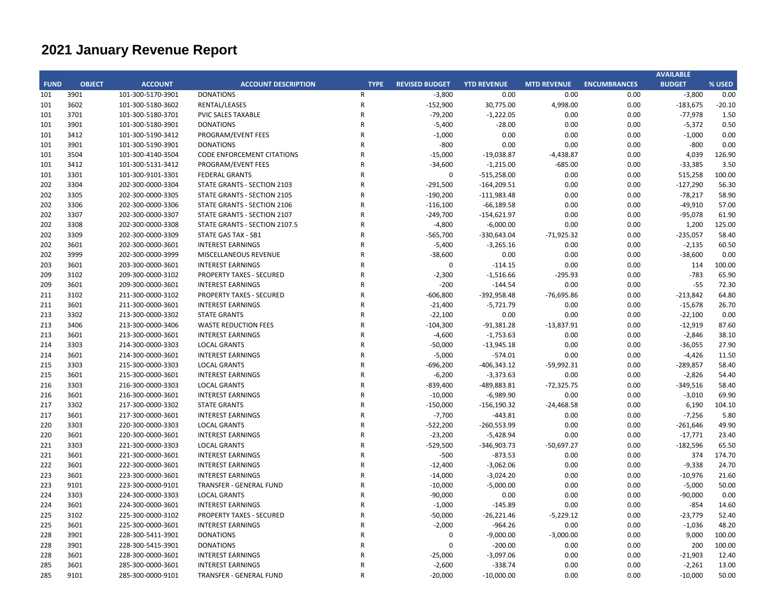|             |               |                   |                                   |                |                       |                    |                    |                     | <b>AVAILABLE</b> |          |
|-------------|---------------|-------------------|-----------------------------------|----------------|-----------------------|--------------------|--------------------|---------------------|------------------|----------|
| <b>FUND</b> | <b>OBJECT</b> | <b>ACCOUNT</b>    | <b>ACCOUNT DESCRIPTION</b>        | <b>TYPE</b>    | <b>REVISED BUDGET</b> | <b>YTD REVENUE</b> | <b>MTD REVENUE</b> | <b>ENCUMBRANCES</b> | <b>BUDGET</b>    | % USED   |
| 101         | 3901          | 101-300-5170-3901 | <b>DONATIONS</b>                  | $\mathsf{R}$   | $-3,800$              | 0.00               | 0.00               | 0.00                | $-3,800$         | 0.00     |
| 101         | 3602          | 101-300-5180-3602 | RENTAL/LEASES                     | R              | $-152,900$            | 30,775.00          | 4,998.00           | 0.00                | $-183,675$       | $-20.10$ |
| 101         | 3701          | 101-300-5180-3701 | <b>PVIC SALES TAXABLE</b>         | $\mathsf{R}$   | $-79,200$             | $-1,222.05$        | 0.00               | 0.00                | $-77,978$        | 1.50     |
| 101         | 3901          | 101-300-5180-3901 | <b>DONATIONS</b>                  | $\mathsf{R}$   | $-5,400$              | $-28.00$           | 0.00               | 0.00                | $-5,372$         | 0.50     |
| 101         | 3412          | 101-300-5190-3412 | PROGRAM/EVENT FEES                | $\mathsf{R}$   | $-1,000$              | 0.00               | 0.00               | 0.00                | $-1,000$         | 0.00     |
| 101         | 3901          | 101-300-5190-3901 | <b>DONATIONS</b>                  | $\mathsf{R}$   | $-800$                | 0.00               | 0.00               | 0.00                | $-800$           | 0.00     |
| 101         | 3504          | 101-300-4140-3504 | <b>CODE ENFORCEMENT CITATIONS</b> | $\mathsf{R}$   | $-15,000$             | $-19,038.87$       | $-4,438.87$        | 0.00                | 4,039            | 126.90   |
| 101         | 3412          | 101-300-5131-3412 | PROGRAM/EVENT FEES                | $\mathsf{R}$   | $-34,600$             | $-1,215.00$        | $-685.00$          | 0.00                | $-33,385$        | 3.50     |
| 101         | 3301          | 101-300-9101-3301 | <b>FEDERAL GRANTS</b>             | $\mathsf{R}$   | 0                     | $-515,258.00$      | 0.00               | 0.00                | 515,258          | 100.00   |
| 202         | 3304          | 202-300-0000-3304 | STATE GRANTS - SECTION 2103       | $\mathsf{R}$   | $-291,500$            | $-164,209.51$      | 0.00               | 0.00                | $-127,290$       | 56.30    |
| 202         | 3305          | 202-300-0000-3305 | STATE GRANTS - SECTION 2105       | $\mathsf{R}$   | $-190,200$            | $-111,983.48$      | 0.00               | 0.00                | $-78,217$        | 58.90    |
| 202         | 3306          | 202-300-0000-3306 | STATE GRANTS - SECTION 2106       | $\mathsf{R}$   | $-116,100$            | $-66,189.58$       | 0.00               | 0.00                | $-49,910$        | 57.00    |
| 202         | 3307          | 202-300-0000-3307 | STATE GRANTS - SECTION 2107       | $\mathsf{R}$   | $-249,700$            | $-154,621.97$      | 0.00               | 0.00                | $-95,078$        | 61.90    |
| 202         | 3308          | 202-300-0000-3308 | STATE GRANTS - SECTION 2107.5     | $\mathsf{R}$   | $-4,800$              | $-6,000.00$        | 0.00               | 0.00                | 1,200            | 125.00   |
| 202         | 3309          | 202-300-0000-3309 | STATE GAS TAX - SB1               | $\mathsf{R}$   | $-565,700$            | -330,643.04        | $-71,925.32$       | 0.00                | $-235,057$       | 58.40    |
| 202         | 3601          | 202-300-0000-3601 | <b>INTEREST EARNINGS</b>          | $\mathsf{R}$   | $-5,400$              | $-3,265.16$        | 0.00               | 0.00                | $-2,135$         | 60.50    |
| 202         | 3999          | 202-300-0000-3999 | MISCELLANEOUS REVENUE             | $\mathsf{R}$   | $-38,600$             | 0.00               | 0.00               | 0.00                | $-38,600$        | 0.00     |
| 203         | 3601          | 203-300-0000-3601 | <b>INTEREST EARNINGS</b>          | $\mathsf{R}$   | $\Omega$              | $-114.15$          | 0.00               | 0.00                | 114              | 100.00   |
| 209         | 3102          | 209-300-0000-3102 | <b>PROPERTY TAXES - SECURED</b>   | $\mathsf{R}$   | $-2,300$              | $-1,516.66$        | $-295.93$          | 0.00                | $-783$           | 65.90    |
| 209         | 3601          | 209-300-0000-3601 | <b>INTEREST EARNINGS</b>          | $\overline{R}$ | $-200$                | $-144.54$          | 0.00               | 0.00                | $-55$            | 72.30    |
| 211         | 3102          | 211-300-0000-3102 | <b>PROPERTY TAXES - SECURED</b>   | $\mathsf{R}$   | $-606,800$            | $-392,958.48$      | $-76,695.86$       | 0.00                | $-213,842$       | 64.80    |
| 211         | 3601          | 211-300-0000-3601 | <b>INTEREST EARNINGS</b>          | $\mathsf{R}$   | $-21,400$             | $-5,721.79$        | 0.00               | 0.00                | $-15,678$        | 26.70    |
| 213         | 3302          | 213-300-0000-3302 | <b>STATE GRANTS</b>               | $\mathsf{R}$   | $-22,100$             | 0.00               | 0.00               | 0.00                | $-22,100$        | 0.00     |
| 213         | 3406          | 213-300-0000-3406 | <b>WASTE REDUCTION FEES</b>       | $\mathsf{R}$   | $-104,300$            | $-91,381.28$       | $-13,837.91$       | 0.00                | $-12,919$        | 87.60    |
| 213         | 3601          | 213-300-0000-3601 | <b>INTEREST EARNINGS</b>          | $\mathsf{R}$   | $-4,600$              | $-1,753.63$        | 0.00               | 0.00                | $-2,846$         | 38.10    |
| 214         | 3303          | 214-300-0000-3303 | <b>LOCAL GRANTS</b>               | $\mathsf{R}$   | $-50,000$             | $-13,945.18$       | 0.00               | 0.00                | $-36,055$        | 27.90    |
| 214         | 3601          | 214-300-0000-3601 | <b>INTEREST EARNINGS</b>          | $\mathsf{R}$   | $-5,000$              | $-574.01$          | 0.00               | 0.00                | $-4,426$         | 11.50    |
| 215         | 3303          | 215-300-0000-3303 | <b>LOCAL GRANTS</b>               | $\mathsf{R}$   | $-696,200$            | $-406,343.12$      | $-59,992.31$       | 0.00                | -289,857         | 58.40    |
| 215         | 3601          | 215-300-0000-3601 | <b>INTEREST EARNINGS</b>          | $\mathsf{R}$   | $-6,200$              | $-3,373.63$        | 0.00               | 0.00                | $-2,826$         | 54.40    |
| 216         | 3303          | 216-300-0000-3303 | <b>LOCAL GRANTS</b>               | $\mathsf{R}$   | $-839,400$            | -489,883.81        | $-72,325.75$       | 0.00                | $-349,516$       | 58.40    |
| 216         | 3601          | 216-300-0000-3601 | <b>INTEREST EARNINGS</b>          | $\mathsf{R}$   | $-10,000$             | $-6,989.90$        | 0.00               | 0.00                | $-3,010$         | 69.90    |
| 217         | 3302          | 217-300-0000-3302 | <b>STATE GRANTS</b>               | $\mathsf{R}$   | $-150,000$            | $-156, 190.32$     | $-24,468.58$       | 0.00                | 6,190            | 104.10   |
| 217         | 3601          | 217-300-0000-3601 | <b>INTEREST EARNINGS</b>          | $\mathsf{R}$   | $-7,700$              | $-443.81$          | 0.00               | 0.00                | $-7,256$         | 5.80     |
| 220         | 3303          | 220-300-0000-3303 | <b>LOCAL GRANTS</b>               | $\mathsf{R}$   | $-522,200$            | $-260,553.99$      | 0.00               | 0.00                | $-261,646$       | 49.90    |
| 220         | 3601          | 220-300-0000-3601 | <b>INTEREST EARNINGS</b>          | $\mathsf{R}$   | $-23,200$             | $-5,428.94$        | 0.00               | 0.00                | $-17,771$        | 23.40    |
| 221         | 3303          | 221-300-0000-3303 | <b>LOCAL GRANTS</b>               | $\mathsf{R}$   | $-529,500$            | $-346,903.73$      | $-50,697.27$       | 0.00                | $-182,596$       | 65.50    |
| 221         | 3601          | 221-300-0000-3601 | <b>INTEREST EARNINGS</b>          | $\mathsf{R}$   | $-500$                | $-873.53$          | 0.00               | 0.00                | 374              | 174.70   |
| 222         | 3601          | 222-300-0000-3601 | <b>INTEREST EARNINGS</b>          | $\mathsf{R}$   | $-12,400$             | $-3,062.06$        | 0.00               | 0.00                | $-9,338$         | 24.70    |
| 223         | 3601          | 223-300-0000-3601 | <b>INTEREST EARNINGS</b>          | $\mathsf{R}$   | $-14,000$             | $-3,024.20$        | 0.00               | 0.00                | $-10,976$        | 21.60    |
| 223         | 9101          | 223-300-0000-9101 | TRANSFER - GENERAL FUND           | $\mathsf{R}$   | $-10,000$             | $-5,000.00$        | 0.00               | 0.00                | $-5,000$         | 50.00    |
| 224         | 3303          | 224-300-0000-3303 | <b>LOCAL GRANTS</b>               | $\mathsf{R}$   | $-90,000$             | 0.00               | 0.00               | 0.00                | $-90,000$        | 0.00     |
| 224         | 3601          | 224-300-0000-3601 | <b>INTEREST EARNINGS</b>          | $\mathsf{R}$   | $-1,000$              | $-145.89$          | 0.00               | 0.00                | $-854$           | 14.60    |
| 225         | 3102          | 225-300-0000-3102 | <b>PROPERTY TAXES - SECURED</b>   | $\mathsf{R}$   | $-50,000$             | $-26,221.46$       | $-5,229.12$        | 0.00                | $-23,779$        | 52.40    |
| 225         | 3601          | 225-300-0000-3601 | <b>INTEREST EARNINGS</b>          | $\mathsf{R}$   | $-2,000$              | $-964.26$          | 0.00               | 0.00                | $-1,036$         | 48.20    |
| 228         | 3901          | 228-300-5411-3901 | <b>DONATIONS</b>                  | $\mathsf{R}$   | 0                     | $-9,000.00$        | $-3,000.00$        | 0.00                | 9,000            | 100.00   |
| 228         | 3901          | 228-300-5415-3901 | <b>DONATIONS</b>                  | $\mathsf{R}$   | 0                     | $-200.00$          | 0.00               | 0.00                | 200              | 100.00   |
| 228         | 3601          | 228-300-0000-3601 | <b>INTEREST EARNINGS</b>          | $\mathsf{R}$   | $-25,000$             | $-3,097.06$        | 0.00               | 0.00                | $-21,903$        | 12.40    |
| 285         | 3601          | 285-300-0000-3601 | <b>INTEREST EARNINGS</b>          | $\mathsf{R}$   | $-2,600$              | $-338.74$          | 0.00               | 0.00                | $-2,261$         | 13.00    |
| 285         | 9101          | 285-300-0000-9101 | TRANSFER - GENERAL FUND           | ${\sf R}$      | $-20,000$             | $-10,000.00$       | 0.00               | 0.00                | $-10,000$        | 50.00    |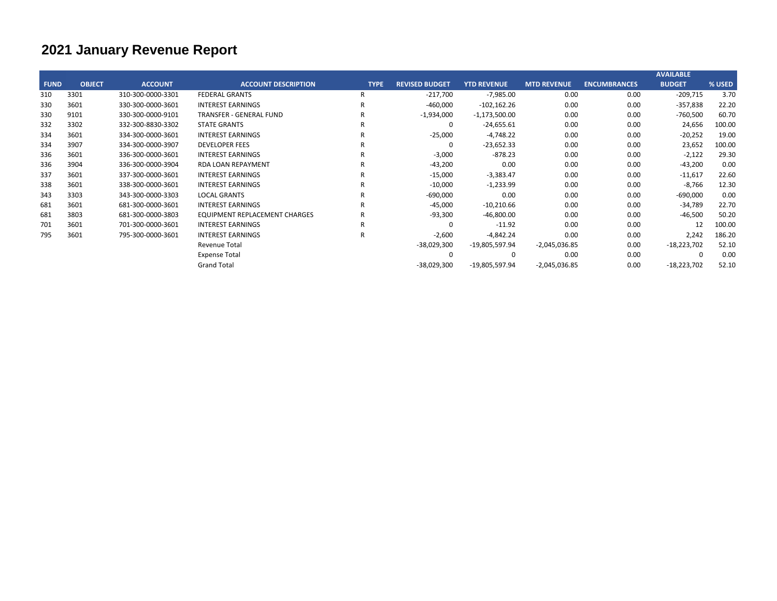|             |               |                   |                                      |              |                       |                    |                    |                     | <b>AVAILABLE</b> |        |
|-------------|---------------|-------------------|--------------------------------------|--------------|-----------------------|--------------------|--------------------|---------------------|------------------|--------|
| <b>FUND</b> | <b>OBJECT</b> | <b>ACCOUNT</b>    | <b>ACCOUNT DESCRIPTION</b>           | <b>TYPE</b>  | <b>REVISED BUDGET</b> | <b>YTD REVENUE</b> | <b>MTD REVENUE</b> | <b>ENCUMBRANCES</b> | <b>BUDGET</b>    | % USED |
| 310         | 3301          | 310-300-0000-3301 | <b>FEDERAL GRANTS</b>                | R            | $-217,700$            | $-7,985.00$        | 0.00               | 0.00                | $-209,715$       | 3.70   |
| 330         | 3601          | 330-300-0000-3601 | <b>INTEREST EARNINGS</b>             | R            | $-460,000$            | $-102,162.26$      | 0.00               | 0.00                | $-357,838$       | 22.20  |
| 330         | 9101          | 330-300-0000-9101 | <b>TRANSFER - GENERAL FUND</b>       | R            | $-1,934,000$          | $-1,173,500.00$    | 0.00               | 0.00                | $-760,500$       | 60.70  |
| 332         | 3302          | 332-300-8830-3302 | <b>STATE GRANTS</b>                  |              | 0                     | $-24,655.61$       | 0.00               | 0.00                | 24,656           | 100.00 |
| 334         | 3601          | 334-300-0000-3601 | <b>INTEREST EARNINGS</b>             |              | $-25,000$             | $-4,748.22$        | 0.00               | 0.00                | $-20,252$        | 19.00  |
| 334         | 3907          | 334-300-0000-3907 | <b>DEVELOPER FEES</b>                |              | 0                     | $-23,652.33$       | 0.00               | 0.00                | 23,652           | 100.00 |
| 336         | 3601          | 336-300-0000-3601 | <b>INTEREST EARNINGS</b>             |              | $-3,000$              | $-878.23$          | 0.00               | 0.00                | $-2,122$         | 29.30  |
| 336         | 3904          | 336-300-0000-3904 | <b>RDA LOAN REPAYMENT</b>            |              | $-43,200$             | 0.00               | 0.00               | 0.00                | $-43,200$        | 0.00   |
| 337         | 3601          | 337-300-0000-3601 | <b>INTEREST EARNINGS</b>             |              | $-15,000$             | $-3,383.47$        | 0.00               | 0.00                | $-11,617$        | 22.60  |
| 338         | 3601          | 338-300-0000-3601 | <b>INTEREST EARNINGS</b>             |              | $-10,000$             | $-1,233.99$        | 0.00               | 0.00                | $-8,766$         | 12.30  |
| 343         | 3303          | 343-300-0000-3303 | <b>LOCAL GRANTS</b>                  |              | $-690,000$            | 0.00               | 0.00               | 0.00                | $-690,000$       | 0.00   |
| 681         | 3601          | 681-300-0000-3601 | <b>INTEREST EARNINGS</b>             |              | $-45,000$             | $-10,210.66$       | 0.00               | 0.00                | $-34,789$        | 22.70  |
| 681         | 3803          | 681-300-0000-3803 | <b>EQUIPMENT REPLACEMENT CHARGES</b> |              | $-93,300$             | $-46,800.00$       | 0.00               | 0.00                | $-46,500$        | 50.20  |
| 701         | 3601          | 701-300-0000-3601 | <b>INTEREST EARNINGS</b>             | $\mathsf{R}$ | 0                     | $-11.92$           | 0.00               | 0.00                | 12               | 100.00 |
| 795         | 3601          | 795-300-0000-3601 | <b>INTEREST EARNINGS</b>             | R            | $-2,600$              | $-4,842.24$        | 0.00               | 0.00                | 2,242            | 186.20 |
|             |               |                   | Revenue Total                        |              | $-38,029,300$         | -19,805,597.94     | $-2,045,036.85$    | 0.00                | $-18,223,702$    | 52.10  |
|             |               |                   | <b>Expense Total</b>                 |              | 0                     | 0                  | 0.00               | 0.00                |                  | 0.00   |
|             |               |                   | <b>Grand Total</b>                   |              | $-38,029,300$         | -19,805,597.94     | $-2,045,036.85$    | 0.00                | $-18,223,702$    | 52.10  |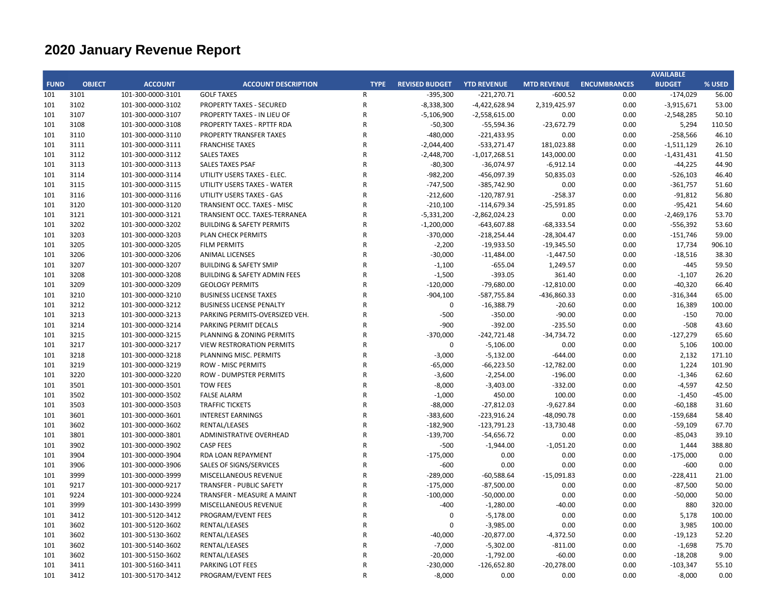|             |               |                   |                                         |                |                       |                    |                    |                     | <b>AVAILABLE</b> |          |
|-------------|---------------|-------------------|-----------------------------------------|----------------|-----------------------|--------------------|--------------------|---------------------|------------------|----------|
| <b>FUND</b> | <b>OBJECT</b> | <b>ACCOUNT</b>    | <b>ACCOUNT DESCRIPTION</b>              | <b>TYPE</b>    | <b>REVISED BUDGET</b> | <b>YTD REVENUE</b> | <b>MTD REVENUE</b> | <b>ENCUMBRANCES</b> | <b>BUDGET</b>    | % USED   |
| 101         | 3101          | 101-300-0000-3101 | <b>GOLF TAXES</b>                       | $\mathsf{R}$   | $-395,300$            | $-221,270.71$      | $-600.52$          | 0.00                | $-174,029$       | 56.00    |
| 101         | 3102          | 101-300-0000-3102 | <b>PROPERTY TAXES - SECURED</b>         | ${\sf R}$      | $-8,338,300$          | $-4,422,628.94$    | 2,319,425.97       | 0.00                | $-3,915,671$     | 53.00    |
| 101         | 3107          | 101-300-0000-3107 | PROPERTY TAXES - IN LIEU OF             | $\mathsf{R}$   | $-5,106,900$          | $-2,558,615.00$    | 0.00               | 0.00                | $-2,548,285$     | 50.10    |
| 101         | 3108          | 101-300-0000-3108 | PROPERTY TAXES - RPTTF RDA              | $\mathsf{R}$   | $-50,300$             | $-55,594.36$       | $-23,672.79$       | 0.00                | 5,294            | 110.50   |
| 101         | 3110          | 101-300-0000-3110 | PROPERTY TRANSFER TAXES                 | $\mathsf{R}$   | $-480,000$            | $-221,433.95$      | 0.00               | 0.00                | $-258,566$       | 46.10    |
| 101         | 3111          | 101-300-0000-3111 | <b>FRANCHISE TAXES</b>                  | $\overline{R}$ | $-2,044,400$          | $-533,271.47$      | 181,023.88         | 0.00                | $-1,511,129$     | 26.10    |
| 101         | 3112          | 101-300-0000-3112 | <b>SALES TAXES</b>                      | $\mathsf{R}$   | $-2,448,700$          | $-1,017,268.51$    | 143,000.00         | 0.00                | $-1,431,431$     | 41.50    |
| 101         | 3113          | 101-300-0000-3113 | <b>SALES TAXES PSAF</b>                 | $\overline{R}$ | $-80,300$             | $-36,074.97$       | $-6,912.14$        | 0.00                | $-44,225$        | 44.90    |
| 101         | 3114          | 101-300-0000-3114 | UTILITY USERS TAXES - ELEC.             | $\mathsf{R}$   | $-982,200$            | -456,097.39        | 50,835.03          | 0.00                | $-526,103$       | 46.40    |
| 101         | 3115          | 101-300-0000-3115 | UTILITY USERS TAXES - WATER             | $\mathsf{R}$   | $-747,500$            | -385,742.90        | 0.00               | 0.00                | $-361,757$       | 51.60    |
| 101         | 3116          | 101-300-0000-3116 | UTILITY USERS TAXES - GAS               | $\mathsf{R}$   | $-212,600$            | $-120,787.91$      | $-258.37$          | 0.00                | $-91,812$        | 56.80    |
| 101         | 3120          | 101-300-0000-3120 | TRANSIENT OCC. TAXES - MISC             | $\overline{R}$ | $-210,100$            | $-114,679.34$      | $-25,591.85$       | 0.00                | $-95,421$        | 54.60    |
| 101         | 3121          | 101-300-0000-3121 | TRANSIENT OCC. TAXES-TERRANEA           | $\mathsf{R}$   | $-5,331,200$          | $-2,862,024.23$    | 0.00               | 0.00                | $-2,469,176$     | 53.70    |
| 101         | 3202          | 101-300-0000-3202 | <b>BUILDING &amp; SAFETY PERMITS</b>    | $\mathsf{R}$   | $-1,200,000$          | $-643,607.88$      | $-68,333.54$       | 0.00                | $-556,392$       | 53.60    |
| 101         | 3203          | 101-300-0000-3203 | PLAN CHECK PERMITS                      | $\mathsf{R}$   | $-370,000$            | $-218,254.44$      | $-28,304.47$       | 0.00                | $-151,746$       | 59.00    |
| 101         | 3205          | 101-300-0000-3205 | <b>FILM PERMITS</b>                     | $\overline{R}$ | $-2,200$              | $-19,933.50$       | $-19,345.50$       | 0.00                | 17,734           | 906.10   |
| 101         | 3206          | 101-300-0000-3206 | <b>ANIMAL LICENSES</b>                  | $\overline{R}$ | $-30,000$             | $-11,484.00$       | $-1,447.50$        | 0.00                | $-18,516$        | 38.30    |
| 101         | 3207          | 101-300-0000-3207 | <b>BUILDING &amp; SAFETY SMIP</b>       | $\mathsf{R}$   | $-1,100$              | $-655.04$          | 1,249.57           | 0.00                | $-445$           | 59.50    |
| 101         | 3208          | 101-300-0000-3208 | <b>BUILDING &amp; SAFETY ADMIN FEES</b> | $\overline{R}$ | $-1,500$              | $-393.05$          | 361.40             | 0.00                | $-1,107$         | 26.20    |
| 101         | 3209          | 101-300-0000-3209 | <b>GEOLOGY PERMITS</b>                  | $\mathsf{R}$   | $-120,000$            | $-79,680.00$       | $-12,810.00$       | 0.00                | $-40,320$        | 66.40    |
| 101         | 3210          | 101-300-0000-3210 | <b>BUSINESS LICENSE TAXES</b>           | $\mathsf{R}$   | $-904,100$            | -587,755.84        | -436,860.33        | 0.00                | $-316,344$       | 65.00    |
| 101         | 3212          | 101-300-0000-3212 | <b>BUSINESS LICENSE PENALTY</b>         | $\overline{R}$ | $\pmb{0}$             | $-16,388.79$       | $-20.60$           | 0.00                | 16,389           | 100.00   |
| 101         | 3213          | 101-300-0000-3213 | PARKING PERMITS-OVERSIZED VEH.          | $\mathsf{R}$   | -500                  | $-350.00$          | $-90.00$           | 0.00                | $-150$           | 70.00    |
| 101         | 3214          | 101-300-0000-3214 | PARKING PERMIT DECALS                   | $\mathsf{R}$   | $-900$                | $-392.00$          | $-235.50$          | 0.00                | $-508$           | 43.60    |
| 101         | 3215          | 101-300-0000-3215 | PLANNING & ZONING PERMITS               | $\overline{R}$ | $-370,000$            | $-242,721.48$      | $-34,734.72$       | 0.00                | $-127,279$       | 65.60    |
| 101         | 3217          | 101-300-0000-3217 | <b>VIEW RESTRORATION PERMITS</b>        | $\overline{R}$ | 0                     | $-5,106.00$        | 0.00               | 0.00                | 5,106            | 100.00   |
| 101         | 3218          | 101-300-0000-3218 | PLANNING MISC. PERMITS                  | $\overline{R}$ | $-3,000$              | $-5,132.00$        | $-644.00$          | 0.00                | 2,132            | 171.10   |
| 101         | 3219          | 101-300-0000-3219 | <b>ROW - MISC PERMITS</b>               | $\mathsf{R}$   | $-65,000$             | $-66,223.50$       | $-12,782.00$       | 0.00                | 1,224            | 101.90   |
| 101         | 3220          | 101-300-0000-3220 | <b>ROW - DUMPSTER PERMITS</b>           | $\overline{R}$ | $-3,600$              | $-2,254.00$        | $-196.00$          | 0.00                | $-1,346$         | 62.60    |
| 101         | 3501          | 101-300-0000-3501 | <b>TOW FEES</b>                         | $\mathsf{R}$   | $-8,000$              | $-3,403.00$        | $-332.00$          | 0.00                | $-4,597$         | 42.50    |
| 101         | 3502          | 101-300-0000-3502 | <b>FALSE ALARM</b>                      | $\mathsf{R}$   | $-1,000$              | 450.00             | 100.00             | 0.00                | $-1,450$         | $-45.00$ |
| 101         | 3503          | 101-300-0000-3503 | <b>TRAFFIC TICKETS</b>                  | $\mathsf{R}$   | $-88,000$             | $-27,812.03$       | $-9,627.84$        | 0.00                | $-60,188$        | 31.60    |
| 101         | 3601          | 101-300-0000-3601 | <b>INTEREST EARNINGS</b>                | $\mathsf{R}$   | $-383,600$            | $-223,916.24$      | $-48,090.78$       | 0.00                | $-159,684$       | 58.40    |
| 101         | 3602          | 101-300-0000-3602 | RENTAL/LEASES                           | $\overline{R}$ | $-182,900$            | $-123,791.23$      | $-13,730.48$       | 0.00                | $-59,109$        | 67.70    |
| 101         | 3801          | 101-300-0000-3801 | ADMINISTRATIVE OVERHEAD                 | $\mathsf{R}$   | $-139,700$            | $-54,656.72$       | 0.00               | 0.00                | $-85,043$        | 39.10    |
| 101         | 3902          | 101-300-0000-3902 | <b>CASP FEES</b>                        | $\overline{R}$ | $-500$                | $-1,944.00$        | $-1,051.20$        | 0.00                | 1,444            | 388.80   |
| 101         | 3904          | 101-300-0000-3904 | RDA LOAN REPAYMENT                      | $\overline{R}$ | $-175,000$            | 0.00               | 0.00               | 0.00                | $-175,000$       | 0.00     |
| 101         | 3906          | 101-300-0000-3906 | SALES OF SIGNS/SERVICES                 | $\overline{R}$ | $-600$                | 0.00               | 0.00               | 0.00                | $-600$           | 0.00     |
| 101         | 3999          | 101-300-0000-3999 | MISCELLANEOUS REVENUE                   | $\mathsf{R}$   | $-289,000$            | $-60,588.64$       | $-15,091.83$       | 0.00                | $-228,411$       | 21.00    |
| 101         | 9217          | 101-300-0000-9217 | <b>TRANSFER - PUBLIC SAFETY</b>         | $\mathsf{R}$   | $-175,000$            | $-87,500.00$       | 0.00               | 0.00                | $-87,500$        | 50.00    |
| 101         | 9224          | 101-300-0000-9224 | TRANSFER - MEASURE A MAINT              | $\mathsf{R}$   | $-100,000$            | $-50,000.00$       | 0.00               | 0.00                | $-50,000$        | 50.00    |
| 101         | 3999          | 101-300-1430-3999 | MISCELLANEOUS REVENUE                   | $\mathsf{R}$   | $-400$                | $-1,280.00$        | $-40.00$           | 0.00                | 880              | 320.00   |
| 101         | 3412          | 101-300-5120-3412 | PROGRAM/EVENT FEES                      | $\mathsf{R}$   | 0                     | $-5,178.00$        | 0.00               | 0.00                | 5,178            | 100.00   |
| 101         | 3602          | 101-300-5120-3602 | RENTAL/LEASES                           | $\overline{R}$ | $\Omega$              | $-3,985.00$        | 0.00               | 0.00                | 3,985            | 100.00   |
| 101         | 3602          | 101-300-5130-3602 | RENTAL/LEASES                           | $\overline{R}$ | $-40,000$             | $-20,877.00$       | $-4,372.50$        | 0.00                | $-19,123$        | 52.20    |
| 101         | 3602          | 101-300-5140-3602 | RENTAL/LEASES                           | $\overline{R}$ | $-7,000$              | $-5,302.00$        | $-811.00$          | 0.00                | $-1,698$         | 75.70    |
| 101         | 3602          | 101-300-5150-3602 | RENTAL/LEASES                           | $\overline{R}$ | $-20,000$             | $-1,792.00$        | $-60.00$           | 0.00                | $-18,208$        | 9.00     |
| 101         | 3411          | 101-300-5160-3411 | PARKING LOT FEES                        | $\mathsf{R}$   | $-230,000$            | $-126,652.80$      | $-20,278.00$       | 0.00                | $-103,347$       | 55.10    |
| 101         | 3412          | 101-300-5170-3412 | PROGRAM/EVENT FEES                      | $\mathsf{R}$   | $-8,000$              | 0.00               | 0.00               | 0.00                | $-8,000$         | 0.00     |
|             |               |                   |                                         |                |                       |                    |                    |                     |                  |          |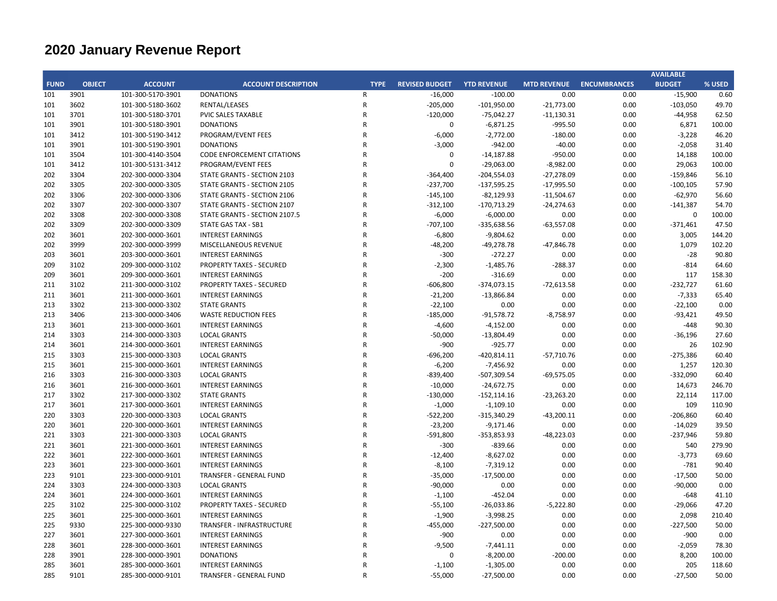|             |               |                   |                                   |                |                       |                    |                    |                     | <b>AVAILABLE</b> |        |
|-------------|---------------|-------------------|-----------------------------------|----------------|-----------------------|--------------------|--------------------|---------------------|------------------|--------|
| <b>FUND</b> | <b>OBJECT</b> | <b>ACCOUNT</b>    | <b>ACCOUNT DESCRIPTION</b>        | <b>TYPE</b>    | <b>REVISED BUDGET</b> | <b>YTD REVENUE</b> | <b>MTD REVENUE</b> | <b>ENCUMBRANCES</b> | <b>BUDGET</b>    | % USED |
| 101         | 3901          | 101-300-5170-3901 | <b>DONATIONS</b>                  | R              | $-16,000$             | $-100.00$          | 0.00               | 0.00                | $-15,900$        | 0.60   |
| 101         | 3602          | 101-300-5180-3602 | RENTAL/LEASES                     | ${\sf R}$      | $-205,000$            | $-101,950.00$      | $-21,773.00$       | 0.00                | $-103,050$       | 49.70  |
| 101         | 3701          | 101-300-5180-3701 | PVIC SALES TAXABLE                | $\mathsf{R}$   | $-120,000$            | $-75,042.27$       | $-11,130.31$       | 0.00                | $-44,958$        | 62.50  |
| 101         | 3901          | 101-300-5180-3901 | <b>DONATIONS</b>                  | $\mathsf{R}$   | $\pmb{0}$             | $-6,871.25$        | $-995.50$          | 0.00                | 6,871            | 100.00 |
| 101         | 3412          | 101-300-5190-3412 | PROGRAM/EVENT FEES                | $\mathsf{R}$   | $-6,000$              | $-2,772.00$        | $-180.00$          | 0.00                | $-3,228$         | 46.20  |
| 101         | 3901          | 101-300-5190-3901 | <b>DONATIONS</b>                  | $\overline{R}$ | $-3,000$              | $-942.00$          | $-40.00$           | 0.00                | $-2,058$         | 31.40  |
| 101         | 3504          | 101-300-4140-3504 | <b>CODE ENFORCEMENT CITATIONS</b> | $\mathsf{R}$   | 0                     | $-14,187.88$       | $-950.00$          | 0.00                | 14,188           | 100.00 |
| 101         | 3412          | 101-300-5131-3412 | PROGRAM/EVENT FEES                | $\overline{R}$ | $\mathbf 0$           | $-29,063.00$       | $-8,982.00$        | 0.00                | 29,063           | 100.00 |
| 202         | 3304          | 202-300-0000-3304 | STATE GRANTS - SECTION 2103       | $\overline{R}$ | $-364,400$            | $-204,554.03$      | $-27,278.09$       | 0.00                | $-159,846$       | 56.10  |
| 202         | 3305          | 202-300-0000-3305 | STATE GRANTS - SECTION 2105       | $\overline{R}$ | $-237,700$            | $-137,595.25$      | $-17,995.50$       | 0.00                | $-100, 105$      | 57.90  |
| 202         | 3306          | 202-300-0000-3306 | STATE GRANTS - SECTION 2106       | $\mathsf{R}$   | $-145,100$            | $-82,129.93$       | $-11,504.67$       | 0.00                | $-62,970$        | 56.60  |
| 202         | 3307          | 202-300-0000-3307 | STATE GRANTS - SECTION 2107       | $\overline{R}$ | $-312,100$            | $-170,713.29$      | $-24,274.63$       | 0.00                | $-141,387$       | 54.70  |
| 202         | 3308          | 202-300-0000-3308 | STATE GRANTS - SECTION 2107.5     | $\mathsf{R}$   | $-6,000$              | $-6,000.00$        | 0.00               | 0.00                | $\mathbf 0$      | 100.00 |
| 202         | 3309          | 202-300-0000-3309 | STATE GAS TAX - SB1               | $\overline{R}$ | $-707,100$            | $-335,638.56$      | $-63,557.08$       | 0.00                | $-371,461$       | 47.50  |
| 202         | 3601          | 202-300-0000-3601 | <b>INTEREST EARNINGS</b>          | $\overline{R}$ | $-6,800$              | $-9,804.62$        | 0.00               | 0.00                | 3,005            | 144.20 |
| 202         | 3999          | 202-300-0000-3999 | MISCELLANEOUS REVENUE             | $\mathsf{R}$   | $-48,200$             | $-49,278.78$       | $-47,846.78$       | 0.00                | 1,079            | 102.20 |
| 203         | 3601          | 203-300-0000-3601 | <b>INTEREST EARNINGS</b>          | $\mathsf{R}$   | $-300$                | $-272.27$          | 0.00               | 0.00                | $-28$            | 90.80  |
| 209         | 3102          | 209-300-0000-3102 | <b>PROPERTY TAXES - SECURED</b>   | $\mathsf{R}$   | $-2,300$              | $-1,485.76$        | $-288.37$          | 0.00                | $-814$           | 64.60  |
| 209         | 3601          | 209-300-0000-3601 | <b>INTEREST EARNINGS</b>          | $\mathsf{R}$   | $-200$                | $-316.69$          | 0.00               | 0.00                | 117              | 158.30 |
| 211         | 3102          | 211-300-0000-3102 | <b>PROPERTY TAXES - SECURED</b>   | $\mathsf{R}$   | $-606,800$            | $-374,073.15$      | $-72,613.58$       | 0.00                | $-232,727$       | 61.60  |
| 211         | 3601          | 211-300-0000-3601 | <b>INTEREST EARNINGS</b>          | $\overline{R}$ | $-21,200$             | $-13,866.84$       | 0.00               | 0.00                | $-7,333$         | 65.40  |
| 213         | 3302          | 213-300-0000-3302 | <b>STATE GRANTS</b>               | $\mathsf{R}$   | $-22,100$             | 0.00               | 0.00               | 0.00                | $-22,100$        | 0.00   |
| 213         | 3406          | 213-300-0000-3406 | <b>WASTE REDUCTION FEES</b>       | $\overline{R}$ | $-185,000$            | $-91,578.72$       | $-8,758.97$        | 0.00                | $-93,421$        | 49.50  |
| 213         | 3601          | 213-300-0000-3601 | <b>INTEREST EARNINGS</b>          | $\mathsf{R}$   | $-4,600$              | $-4,152.00$        | 0.00               | 0.00                | $-448$           | 90.30  |
| 214         | 3303          | 214-300-0000-3303 | <b>LOCAL GRANTS</b>               | $\overline{R}$ | $-50,000$             | $-13,804.49$       | 0.00               | 0.00                | $-36,196$        | 27.60  |
| 214         | 3601          | 214-300-0000-3601 | <b>INTEREST EARNINGS</b>          | $\overline{R}$ | -900                  | $-925.77$          | 0.00               | 0.00                | 26               | 102.90 |
| 215         | 3303          | 215-300-0000-3303 | <b>LOCAL GRANTS</b>               | $\mathsf{R}$   | $-696,200$            | $-420,814.11$      | $-57,710.76$       | 0.00                | $-275,386$       | 60.40  |
| 215         | 3601          | 215-300-0000-3601 | <b>INTEREST EARNINGS</b>          | $\mathsf{R}$   | $-6,200$              | $-7,456.92$        | 0.00               | 0.00                | 1,257            | 120.30 |
| 216         | 3303          | 216-300-0000-3303 | <b>LOCAL GRANTS</b>               | $\mathsf{R}$   | $-839,400$            | $-507,309.54$      | $-69,575.05$       | 0.00                | $-332,090$       | 60.40  |
| 216         | 3601          | 216-300-0000-3601 | <b>INTEREST EARNINGS</b>          | $\overline{R}$ | $-10,000$             | $-24,672.75$       | 0.00               | 0.00                | 14,673           | 246.70 |
| 217         | 3302          | 217-300-0000-3302 | <b>STATE GRANTS</b>               | $\mathsf{R}$   | $-130,000$            | $-152, 114.16$     | $-23,263.20$       | 0.00                | 22,114           | 117.00 |
| 217         | 3601          | 217-300-0000-3601 | <b>INTEREST EARNINGS</b>          | $\overline{R}$ | $-1,000$              | $-1,109.10$        | 0.00               | 0.00                | 109              | 110.90 |
| 220         | 3303          | 220-300-0000-3303 | <b>LOCAL GRANTS</b>               | $\overline{R}$ | $-522,200$            | $-315,340.29$      | $-43,200.11$       | 0.00                | $-206,860$       | 60.40  |
| 220         | 3601          | 220-300-0000-3601 | <b>INTEREST EARNINGS</b>          | $\mathsf{R}$   | $-23,200$             | $-9,171.46$        | 0.00               | 0.00                | $-14,029$        | 39.50  |
| 221         | 3303          | 221-300-0000-3303 | <b>LOCAL GRANTS</b>               | $\overline{R}$ | $-591,800$            | $-353,853.93$      | $-48,223.03$       | 0.00                | $-237,946$       | 59.80  |
| 221         | 3601          | 221-300-0000-3601 | <b>INTEREST EARNINGS</b>          | $\overline{R}$ | $-300$                | $-839.66$          | 0.00               | 0.00                | 540              | 279.90 |
| 222         | 3601          | 222-300-0000-3601 | <b>INTEREST EARNINGS</b>          | $\mathsf{R}$   | $-12,400$             | $-8,627.02$        | 0.00               | 0.00                | $-3,773$         | 69.60  |
| 223         | 3601          | 223-300-0000-3601 | <b>INTEREST EARNINGS</b>          | $\mathsf{R}$   | $-8,100$              | $-7,319.12$        | 0.00               | 0.00                | $-781$           | 90.40  |
| 223         | 9101          | 223-300-0000-9101 | TRANSFER - GENERAL FUND           | $\mathsf{R}$   | $-35,000$             | $-17,500.00$       | 0.00               | 0.00                | $-17,500$        | 50.00  |
| 224         | 3303          | 224-300-0000-3303 | <b>LOCAL GRANTS</b>               | $\overline{R}$ | $-90,000$             | 0.00               | 0.00               | 0.00                | $-90,000$        | 0.00   |
| 224         | 3601          | 224-300-0000-3601 | <b>INTEREST EARNINGS</b>          | $\mathsf{R}$   | $-1,100$              | $-452.04$          | 0.00               | 0.00                | $-648$           | 41.10  |
| 225         | 3102          | 225-300-0000-3102 | PROPERTY TAXES - SECURED          | $\mathsf{R}$   | $-55,100$             | $-26,033.86$       | $-5,222.80$        | 0.00                | $-29,066$        | 47.20  |
| 225         | 3601          | 225-300-0000-3601 | <b>INTEREST EARNINGS</b>          | $\mathsf{R}$   | $-1,900$              | $-3,998.25$        | 0.00               | 0.00                | 2,098            | 210.40 |
| 225         | 9330          | 225-300-0000-9330 | TRANSFER - INFRASTRUCTURE         | $\overline{R}$ | $-455,000$            | $-227,500.00$      | 0.00               | 0.00                | $-227,500$       | 50.00  |
| 227         | 3601          | 227-300-0000-3601 | <b>INTEREST EARNINGS</b>          | $\overline{R}$ | $-900$                | 0.00               | 0.00               | 0.00                | $-900$           | 0.00   |
| 228         | 3601          | 228-300-0000-3601 | <b>INTEREST EARNINGS</b>          | R              | $-9,500$              | $-7,441.11$        | 0.00               | 0.00                | $-2,059$         | 78.30  |
| 228         | 3901          | 228-300-0000-3901 | <b>DONATIONS</b>                  | $\mathsf{R}$   | 0                     | $-8,200.00$        | $-200.00$          | 0.00                | 8,200            | 100.00 |
| 285         | 3601          | 285-300-0000-3601 | <b>INTEREST EARNINGS</b>          | $\mathsf{R}$   | $-1,100$              | $-1,305.00$        | 0.00               | 0.00                | 205              | 118.60 |
| 285         | 9101          | 285-300-0000-9101 | TRANSFER - GENERAL FUND           | R              | $-55,000$             | $-27,500.00$       | 0.00               | 0.00                | $-27,500$        | 50.00  |
|             |               |                   |                                   |                |                       |                    |                    |                     |                  |        |